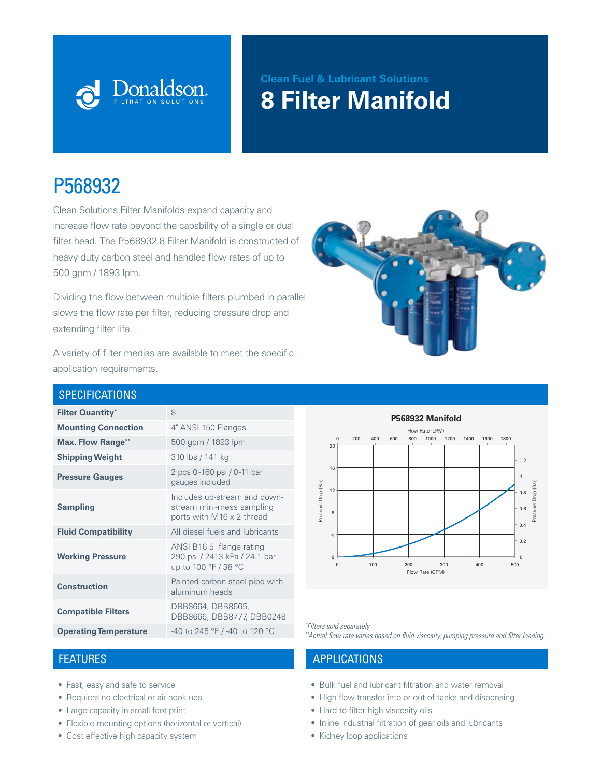

# **Clean Fuel & Lubricant Solutions 8 Filter Manifold**

# P568932

Clean Solutions Filter Manifolds expand capacity and increase flow rate beyond the capability of a single or dual filter head. The P568932 8 Filter Manifold is constructed of heavy duty carbon steel and handles flow rates of up to 500 gpm / 1893 lpm.

Dividing the flow between multiple filters plumbed in parallel slows the flow rate per filter, reducing pressure drop and extending filter life.



A variety of filter medias are available to meet the specific application requirements.

#### **SPECIFICATIONS**

| <b>Filter Quantity*</b>      | 8                                                                                      |
|------------------------------|----------------------------------------------------------------------------------------|
| <b>Mounting Connection</b>   | 4" ANSI 150 Flanges                                                                    |
| <b>Max. Flow Range**</b>     | 500 gpm / 1893 lpm                                                                     |
| <b>Shipping Weight</b>       | 310 lbs / 141 kg                                                                       |
| <b>Pressure Gauges</b>       | 2 pcs 0-160 psi / 0-11 bar<br>gauges included                                          |
| <b>Sampling</b>              | Includes up-stream and down-<br>stream mini-mess sampling<br>ports with M16 x 2 thread |
| <b>Fluid Compatibility</b>   | All diesel fuels and lubricants                                                        |
| <b>Working Pressure</b>      | ANSI B16.5 flange rating<br>290 psi / 2413 kPa / 24.1 bar<br>up to 100 °F / 38 °C      |
| <b>Construction</b>          | Painted carbon steel pipe with<br>aluminum heads                                       |
| <b>Compatible Filters</b>    | DBB8664, DBB8665,<br>DBB8666, DBB8777, DBB0248                                         |
| <b>Operating Temperature</b> | -40 to 245 °F / -40 to 120 °C                                                          |

- Fast, easy and safe to service
- Requires no electrical or air hook-ups
- Large capacity in small foot print
- Flexible mounting options (horizontal or vertical)
- Cost effective high capacity system



*\*Filters sold separately* 

\*\*Actual flow rate varies based on fluid viscosity, pumping pressure and filter loading.

1.2

Pressure Drop (Bar)

### FEATURES APPLICATIONS

- Bulk fuel and lubricant filtration and water removal Pressure Drop (Bar)
- High flow transfer into or out of tanks and dispensing
- Hard-to-filter high viscosity oils
- Inline industrial filtration of gear oils and lubricants
- Kidney loop applications